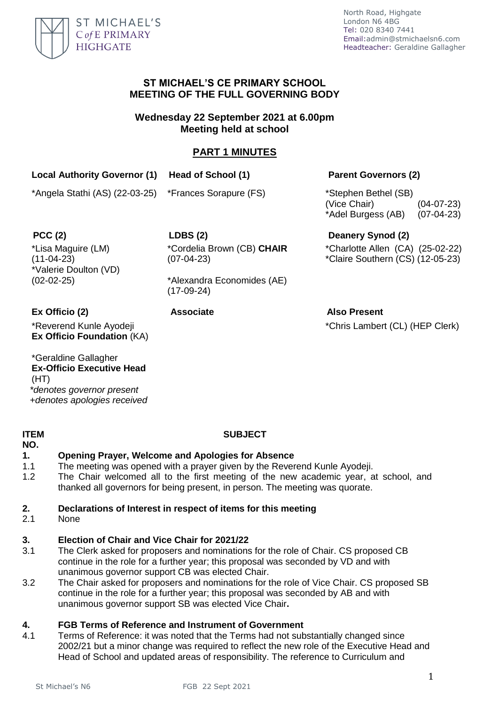

## **ST MICHAEL'S CE PRIMARY SCHOOL MEETING OF THE FULL GOVERNING BODY**

**Wednesday 22 September 2021 at 6.00pm Meeting held at school**

# **PART 1 MINUTES**

# **Local Authority Governor (1) Head of School (1) Parent Governors (2)**

\*Angela Stathi (AS) (22-03-25) \*Frances Sorapure (FS) \*Stephen Bethel (SB)

(Vice Chair) (04-07-23) \*Adel Burgess (AB) (07-04-23)

\*Lisa Maguire (LM) (11-04-23) \*Valerie Doulton (VD) (02-02-25)

**PCC (2) LDBS (2) Deanery Synod (2)** \*Cordelia Brown (CB) **CHAIR** (07-04-23)

> \*Alexandra Economides (AE) (17-09-24)

\*Reverend Kunle Ayodeji **Ex Officio Foundation** (KA)

\*Geraldine Gallagher **Ex-Officio Executive Head**  (HT) *\*denotes governor present +denotes apologies received*

### **ITEM NO.**

# **SUBJECT**

# **1. Opening Prayer, Welcome and Apologies for Absence**

- 1.1 The meeting was opened with a prayer given by the Reverend Kunle Ayodeji.
- 1.2 The Chair welcomed all to the first meeting of the new academic year, at school, and thanked all governors for being present, in person. The meeting was quorate.

# **2. Declarations of Interest in respect of items for this meeting**

2.1 None

### **3. Election of Chair and Vice Chair for 2021/22**

- 3.1 The Clerk asked for proposers and nominations for the role of Chair. CS proposed CB continue in the role for a further year; this proposal was seconded by VD and with unanimous governor support CB was elected Chair.
- 3.2 The Chair asked for proposers and nominations for the role of Vice Chair. CS proposed SB continue in the role for a further year; this proposal was seconded by AB and with unanimous governor support SB was elected Vice Chair**.**

### **4. FGB Terms of Reference and Instrument of Government**

4.1 Terms of Reference: it was noted that the Terms had not substantially changed since 2002/21 but a minor change was required to reflect the new role of the Executive Head and Head of School and updated areas of responsibility. The reference to Curriculum and

\*Charlotte Allen (CA) (25-02-22) \*Claire Southern (CS) (12-05-23)

**Ex Officio (2) Associate Also Present**

\*Chris Lambert (CL) (HEP Clerk)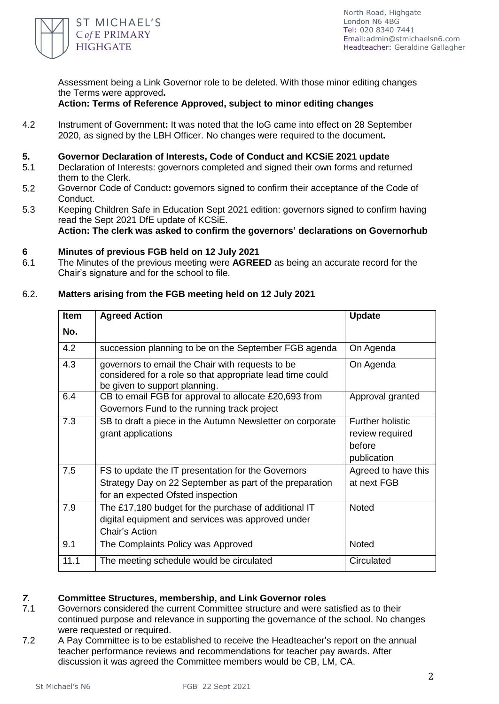

Assessment being a Link Governor role to be deleted. With those minor editing changes the Terms were approved**.**

**Action: Terms of Reference Approved, subject to minor editing changes**

4.2 Instrument of Government**:** It was noted that the IoG came into effect on 28 September 2020, as signed by the LBH Officer. No changes were required to the document**.**

### **5. Governor Declaration of Interests, Code of Conduct and KCSiE 2021 update**

- 5.1 Declaration of Interests: governors completed and signed their own forms and returned them to the Clerk.
- 5.2 Governor Code of Conduct**:** governors signed to confirm their acceptance of the Code of Conduct.
- 5.3 Keeping Children Safe in Education Sept 2021 edition: governors signed to confirm having read the Sept 2021 DfE update of KCSiE.

**Action: The clerk was asked to confirm the governors' declarations on Governorhub**

### **6 Minutes of previous FGB held on 12 July 2021**

6.1 The Minutes of the previous meeting were **AGREED** as being an accurate record for the Chair's signature and for the school to file.

## 6.2. **Matters arising from the FGB meeting held on 12 July 2021**

| <b>Item</b> | <b>Agreed Action</b>                                                                                                                               | <b>Update</b>                                                       |
|-------------|----------------------------------------------------------------------------------------------------------------------------------------------------|---------------------------------------------------------------------|
| No.         |                                                                                                                                                    |                                                                     |
| 4.2         | succession planning to be on the September FGB agenda                                                                                              | On Agenda                                                           |
| 4.3         | governors to email the Chair with requests to be<br>considered for a role so that appropriate lead time could<br>be given to support planning.     | On Agenda                                                           |
| 6.4         | CB to email FGB for approval to allocate £20,693 from<br>Governors Fund to the running track project                                               | Approval granted                                                    |
| 7.3         | SB to draft a piece in the Autumn Newsletter on corporate<br>grant applications                                                                    | <b>Further holistic</b><br>review required<br>before<br>publication |
| 7.5         | FS to update the IT presentation for the Governors<br>Strategy Day on 22 September as part of the preparation<br>for an expected Ofsted inspection | Agreed to have this<br>at next FGB                                  |
| 7.9         | The £17,180 budget for the purchase of additional IT<br>digital equipment and services was approved under<br>Chair's Action                        | Noted                                                               |
| 9.1         | The Complaints Policy was Approved                                                                                                                 | Noted                                                               |
| 11.1        | The meeting schedule would be circulated                                                                                                           | Circulated                                                          |

### *7.* **Committee Structures, membership, and Link Governor roles**

- 7.1 Governors considered the current Committee structure and were satisfied as to their continued purpose and relevance in supporting the governance of the school. No changes were requested or required.
- 7.2 A Pay Committee is to be established to receive the Headteacher's report on the annual teacher performance reviews and recommendations for teacher pay awards. After discussion it was agreed the Committee members would be CB, LM, CA.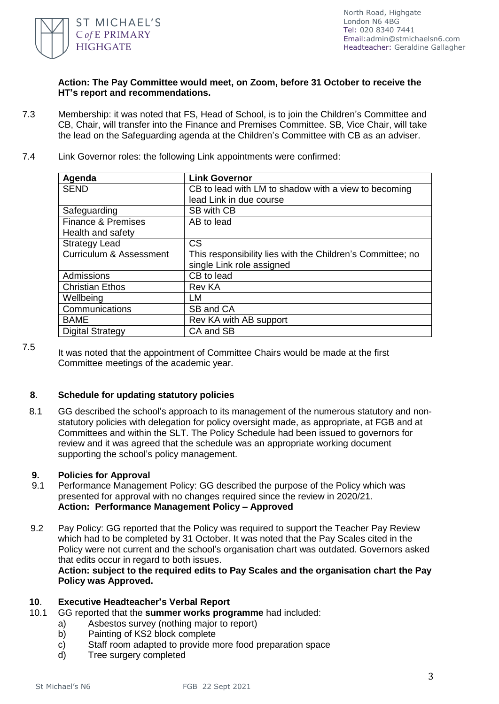

## **Action: The Pay Committee would meet, on Zoom, before 31 October to receive the HT's report and recommendations.**

- 7.3 Membership: it was noted that FS, Head of School, is to join the Children's Committee and CB, Chair, will transfer into the Finance and Premises Committee. SB, Vice Chair, will take the lead on the Safeguarding agenda at the Children's Committee with CB as an adviser.
- 7.4 Link Governor roles: the following Link appointments were confirmed:

| Agenda                             | <b>Link Governor</b>                                       |
|------------------------------------|------------------------------------------------------------|
| <b>SEND</b>                        | CB to lead with LM to shadow with a view to becoming       |
|                                    | lead Link in due course                                    |
| Safeguarding                       | <b>SB with CB</b>                                          |
| <b>Finance &amp; Premises</b>      | AB to lead                                                 |
| Health and safety                  |                                                            |
| <b>Strategy Lead</b>               | <b>CS</b>                                                  |
| <b>Curriculum &amp; Assessment</b> | This responsibility lies with the Children's Committee; no |
|                                    | single Link role assigned                                  |
| Admissions                         | CB to lead                                                 |
| <b>Christian Ethos</b>             | <b>Rev KA</b>                                              |
| Wellbeing                          | LM                                                         |
| Communications                     | SB and CA                                                  |
| <b>BAME</b>                        | Rev KA with AB support                                     |
| <b>Digital Strategy</b>            | CA and SB                                                  |

7.5

It was noted that the appointment of Committee Chairs would be made at the first Committee meetings of the academic year.

## **8**. **Schedule for updating statutory policies**

8.1 GG described the school's approach to its management of the numerous statutory and nonstatutory policies with delegation for policy oversight made, as appropriate, at FGB and at Committees and within the SLT. The Policy Schedule had been issued to governors for review and it was agreed that the schedule was an appropriate working document supporting the school's policy management.

### **9. Policies for Approval**

- 9.1 Performance Management Policy: GG described the purpose of the Policy which was presented for approval with no changes required since the review in 2020/21. **Action: Performance Management Policy – Approved**
- 9.2 Pay Policy: GG reported that the Policy was required to support the Teacher Pay Review which had to be completed by 31 October. It was noted that the Pay Scales cited in the Policy were not current and the school's organisation chart was outdated. Governors asked that edits occur in regard to both issues.

**Action: subject to the required edits to Pay Scales and the organisation chart the Pay Policy was Approved.**

### **10**. **Executive Headteacher's Verbal Report**

- 10.1 GG reported that the **summer works programme** had included:
	- a) Asbestos survey (nothing major to report)
		- b) Painting of KS2 block complete
		- c) Staff room adapted to provide more food preparation space
		- d) Tree surgery completed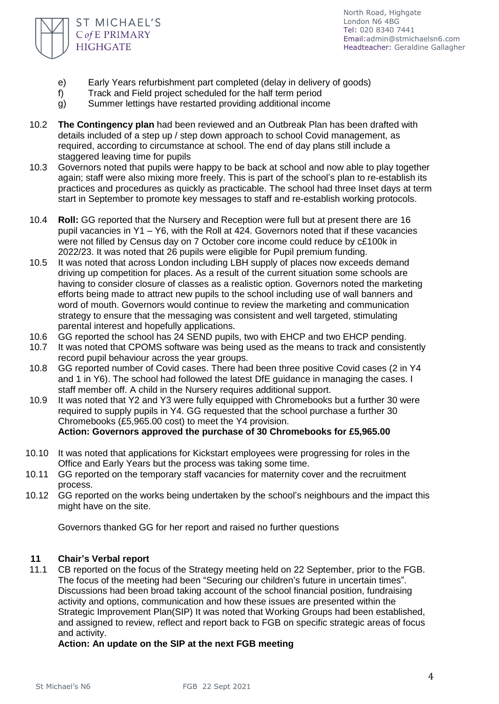

- e) Early Years refurbishment part completed (delay in delivery of goods)
- f) Track and Field project scheduled for the half term period
- g) Summer lettings have restarted providing additional income
- 10.2 **The Contingency plan** had been reviewed and an Outbreak Plan has been drafted with details included of a step up / step down approach to school Covid management, as required, according to circumstance at school. The end of day plans still include a staggered leaving time for pupils
- 10.3 Governors noted that pupils were happy to be back at school and now able to play together again; staff were also mixing more freely. This is part of the school's plan to re-establish its practices and procedures as quickly as practicable. The school had three Inset days at term start in September to promote key messages to staff and re-establish working protocols.
- 10.4 **Roll:** GG reported that the Nursery and Reception were full but at present there are 16 pupil vacancies in Y1 – Y6, with the Roll at 424. Governors noted that if these vacancies were not filled by Census day on 7 October core income could reduce by c£100k in 2022/23. It was noted that 26 pupils were eligible for Pupil premium funding.
- 10.5 It was noted that across London including LBH supply of places now exceeds demand driving up competition for places. As a result of the current situation some schools are having to consider closure of classes as a realistic option. Governors noted the marketing efforts being made to attract new pupils to the school including use of wall banners and word of mouth. Governors would continue to review the marketing and communication strategy to ensure that the messaging was consistent and well targeted, stimulating parental interest and hopefully applications.
- 10.6 GG reported the school has 24 SEND pupils, two with EHCP and two EHCP pending.
- 10.7 It was noted that CPOMS software was being used as the means to track and consistently record pupil behaviour across the year groups.
- 10.8 GG reported number of Covid cases. There had been three positive Covid cases (2 in Y4 and 1 in Y6). The school had followed the latest DfE guidance in managing the cases. I staff member off. A child in the Nursery requires additional support.
- 10.9 It was noted that Y2 and Y3 were fully equipped with Chromebooks but a further 30 were required to supply pupils in Y4. GG requested that the school purchase a further 30 Chromebooks (£5,965.00 cost) to meet the Y4 provision. **Action: Governors approved the purchase of 30 Chromebooks for £5,965.00**
- 10.10 It was noted that applications for Kickstart employees were progressing for roles in the Office and Early Years but the process was taking some time.
- 10.11 GG reported on the temporary staff vacancies for maternity cover and the recruitment process.
- 10.12 GG reported on the works being undertaken by the school's neighbours and the impact this might have on the site.

Governors thanked GG for her report and raised no further questions

### **11 Chair's Verbal report**

 11.1 CB reported on the focus of the Strategy meeting held on 22 September, prior to the FGB. The focus of the meeting had been "Securing our children's future in uncertain times". Discussions had been broad taking account of the school financial position, fundraising activity and options, communication and how these issues are presented within the Strategic Improvement Plan(SIP) It was noted that Working Groups had been established, and assigned to review, reflect and report back to FGB on specific strategic areas of focus and activity.

**Action: An update on the SIP at the next FGB meeting**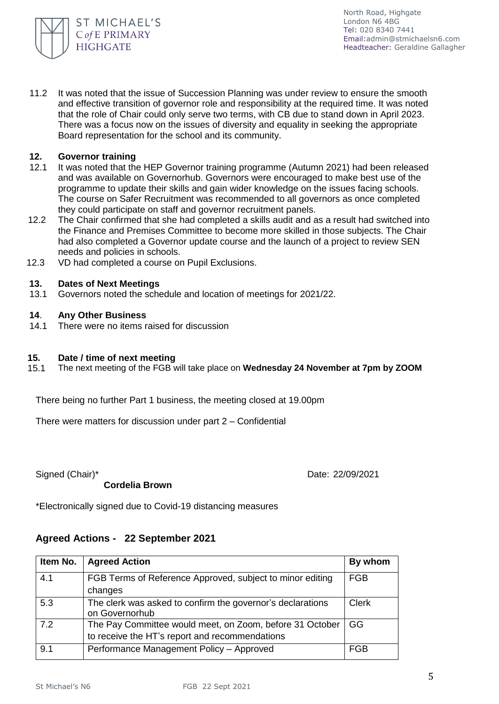

 11.2 It was noted that the issue of Succession Planning was under review to ensure the smooth and effective transition of governor role and responsibility at the required time. It was noted that the role of Chair could only serve two terms, with CB due to stand down in April 2023. There was a focus now on the issues of diversity and equality in seeking the appropriate Board representation for the school and its community.

### **12. Governor training**

- 12.1 It was noted that the HEP Governor training programme (Autumn 2021) had been released and was available on Governorhub. Governors were encouraged to make best use of the programme to update their skills and gain wider knowledge on the issues facing schools. The course on Safer Recruitment was recommended to all governors as once completed they could participate on staff and governor recruitment panels.
- 12.2 The Chair confirmed that she had completed a skills audit and as a result had switched into the Finance and Premises Committee to become more skilled in those subjects. The Chair had also completed a Governor update course and the launch of a project to review SEN needs and policies in schools.
- 12.3 VD had completed a course on Pupil Exclusions.

### **13. Dates of Next Meetings**

 13.1 Governors noted the schedule and location of meetings for 2021/22.

### **14**. **Any Other Business**

 14.1 There were no items raised for discussion

### **15. Date / time of next meeting**

 15.1 The next meeting of the FGB will take place on **Wednesday 24 November at 7pm by ZOOM**

There being no further Part 1 business, the meeting closed at 19.00pm

There were matters for discussion under part 2 – Confidential

Signed (Chair)\* Date: 22/09/2021

\*Electronically signed due to Covid-19 distancing measures

# **Agreed Actions - 22 September 2021**

 **Cordelia Brown** 

| Item No. | <b>Agreed Action</b>                                                         | By whom      |
|----------|------------------------------------------------------------------------------|--------------|
| 4.1      | FGB Terms of Reference Approved, subject to minor editing                    | <b>FGB</b>   |
|          | changes                                                                      |              |
| 5.3      | The clerk was asked to confirm the governor's declarations<br>on Governorhub | <b>Clerk</b> |
| 7.2      | The Pay Committee would meet, on Zoom, before 31 October                     | GG           |
|          | to receive the HT's report and recommendations                               |              |
| 9.1      | Performance Management Policy - Approved                                     | <b>FGB</b>   |